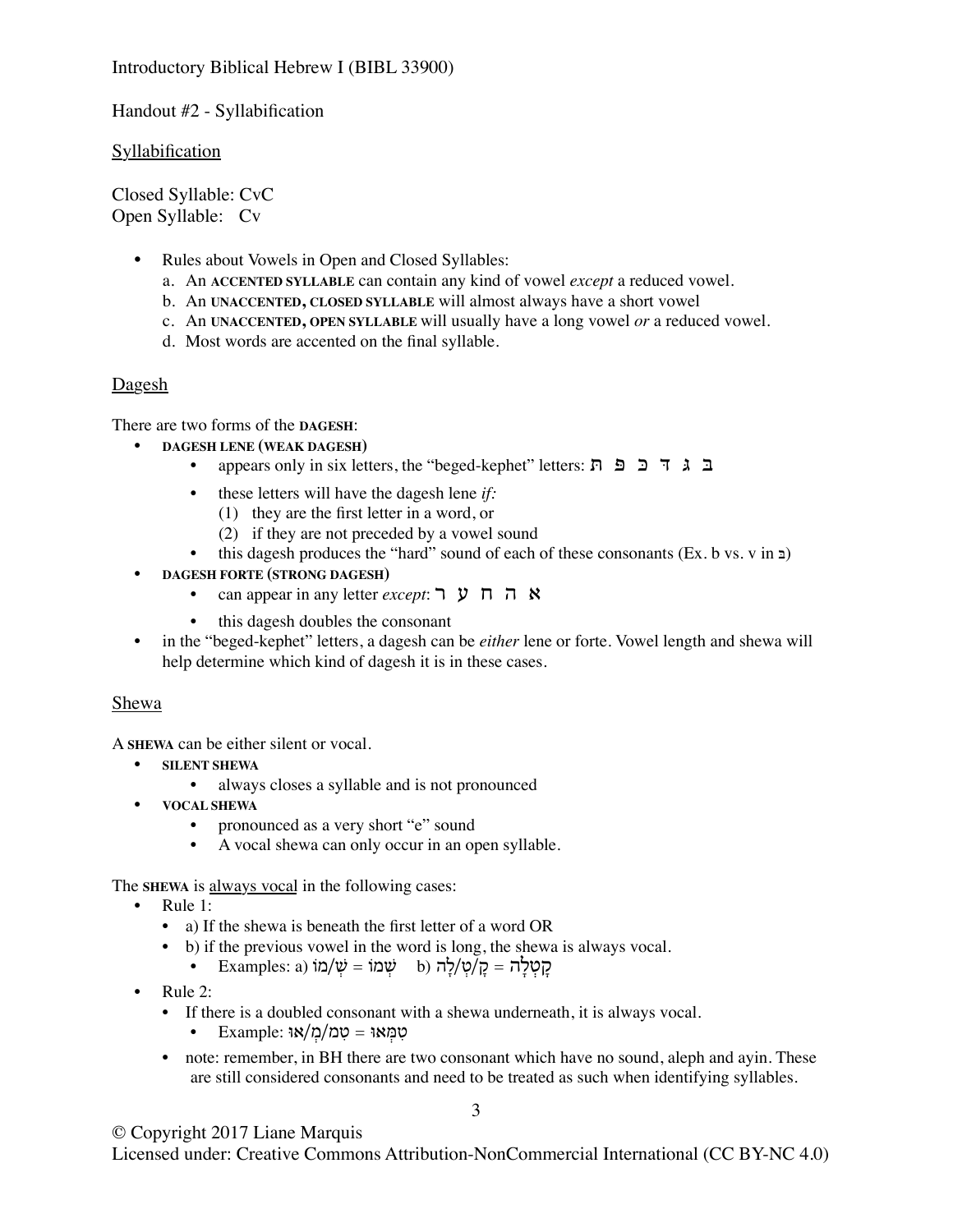Introductory Biblical Hebrew I (BIBL 33900)

Handout #2 - Syllabification

**Syllabification** 

Closed Syllable: CvC Open Syllable: Cv

- Rules about Vowels in Open and Closed Syllables:
	- a. An **ACCENTED SYLLABLE** can contain any kind of vowel *except* a reduced vowel.
	- b. An **UNACCENTED, CLOSED SYLLABLE** will almost always have a short vowel
	- c. An **UNACCENTED, OPEN SYLLABLE** will usually have a long vowel *or* a reduced vowel.
	- d. Most words are accented on the final syllable.

## Dagesh

There are two forms of the **DAGESH**:

- **DAGESH LENE (WEAK DAGESH)**
	- **•** appears only in six letters, the "beged-kephet" letters: תּ פּ כּ דּ גּ בּ
	- these letters will have the dagesh lene *if:*
		- (1) they are the first letter in a word, or
		- (2) if they are not preceded by a vowel sound
	- this dagesh produces the "hard" sound of each of these consonants (Ex. b vs. v in  $\alpha$ )
- **DAGESH FORTE (STRONG DAGESH)**
	- **•** can appear in any letter *except*: ר ע ח ה א
	- this dagesh doubles the consonant
- in the "beged-kephet" letters, a dagesh can be *either* lene or forte. Vowel length and shewa will help determine which kind of dagesh it is in these cases.

## Shewa

A **SHEWA** can be either silent or vocal.

- **SILENT SHEWA**
	- **•** always closes a syllable and is not pronounced
- **VOCAL SHEWA**
	- pronounced as a very short "e" sound
	- A vocal shewa can only occur in an open syllable.

The **SHEWA** is always vocal in the following cases:

- Rule 1:
	- a) If the shewa is beneath the first letter of a word OR
	- b) if the previous vowel in the word is long, the shewa is always vocal.
		- הָלָה =  $\alpha$ /טְלָה (b וֹשְׁמוֹ (b וֹ $\psi$  =  $\gamma$ מוֹ (e · Examples: a
- Rule 2:
	- If there is a doubled consonant with a shewa underneath, it is always vocal.
		- $\text{Example: } \frac{1}{2}$ טְמְאוּ $\varphi = \frac{1}{2}$
	- note: remember, in BH there are two consonant which have no sound, aleph and ayin. These are still considered consonants and need to be treated as such when identifying syllables.

© Copyright 2017 Liane Marquis

Licensed under: Creative Commons Attribution-NonCommercial International (CC BY-NC 4.0)